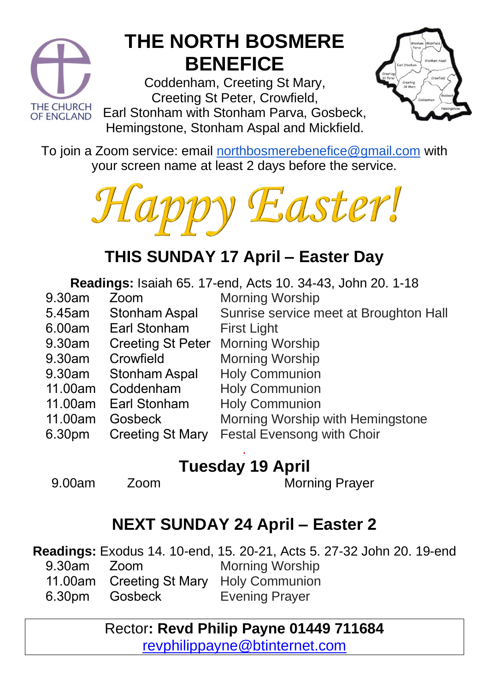

### **THE NORTH BOSMERE BENEFICE**

Coddenham, Creeting St Mary, Creeting St Peter, Crowfield,

Earl Stonham with Stonham Parva, Gosbeck, Hemingstone, Stonham Aspal and Mickfield.



To join a Zoom service: email [northbosmerebenefice@gmail.com](mailto:northbosmerebenefice@gmail.com) with your screen name at least 2 days before the service.



#### **THIS SUNDAY 17 April – Easter Day**

**Readings:** Isaiah 65. 17-end, Acts 10. 34-43, John 20. 1-18 Morning Worship

First Light

Morning Worship Morning Worship Holy Communion Holy Communion Holy Communion

- 9.30am Zoom
- 5.45am Stonham Aspal
- 6.00am Earl Stonham
- 9.30am Creeting St Peter
- 9.30am Crowfield
- 9.30am Stonham Aspal
- 11.00am Coddenham
- 11.00am Earl Stonham
- 11.00am Gosbeck
- 6.30pm Creeting St Mary

#### . **Tuesday 19 April**

9.00am Zoom Morning Prayer

Morning Worship with Hemingstone

Festal Evensong with Choir

Sunrise service meet at Broughton Hall

#### **NEXT SUNDAY 24 April – Easter 2**

**Readings:** Exodus 14. 10-end, 15. 20-21, Acts 5. 27-32 John 20. 19-end 9.30am 11.00am 6.30pm Zoom Creeting St Mary **Gosbeck** Morning Worship Holy Communion Evening Prayer

#### Rector**: Revd Philip Payne 01449 711684**  [revphilippayne@btinternet.com](mailto:revphilippayne@btinternet.com)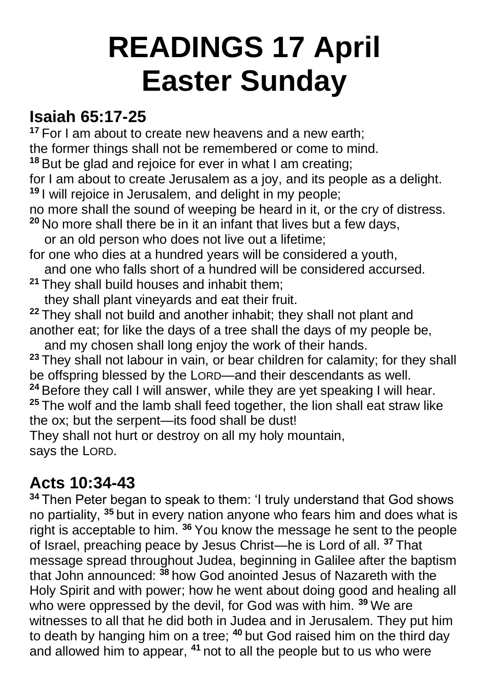## **READINGS 17 April Easter Sunday**

#### **Isaiah 65:17-25**

**<sup>17</sup>** For I am about to create new heavens and a new earth; the former things shall not be remembered or come to mind.

**<sup>18</sup>** But be glad and rejoice for ever in what I am creating;

for I am about to create Jerusalem as a joy, and its people as a delight. **<sup>19</sup>** I will rejoice in Jerusalem, and delight in my people;

no more shall the sound of weeping be heard in it, or the cry of distress.

**<sup>20</sup>** No more shall there be in it an infant that lives but a few days,

or an old person who does not live out a lifetime;

for one who dies at a hundred years will be considered a youth,

and one who falls short of a hundred will be considered accursed.

**<sup>21</sup>** They shall build houses and inhabit them;

they shall plant vineyards and eat their fruit.

**<sup>22</sup>** They shall not build and another inhabit; they shall not plant and another eat; for like the days of a tree shall the days of my people be,

 and my chosen shall long enjoy the work of their hands. **<sup>23</sup>** They shall not labour in vain, or bear children for calamity; for they shall be offspring blessed by the LORD—and their descendants as well.

**<sup>24</sup>** Before they call I will answer, while they are yet speaking I will hear. **<sup>25</sup>** The wolf and the lamb shall feed together, the lion shall eat straw like the ox; but the serpent—its food shall be dust!

They shall not hurt or destroy on all my holy mountain, says the LORD.

#### **Acts 10:34-43**

**<sup>34</sup>** Then Peter began to speak to them: 'I truly understand that God shows no partiality, **<sup>35</sup>** but in every nation anyone who fears him and does what is right is acceptable to him. **<sup>36</sup>** You know the message he sent to the people of Israel, preaching peace by Jesus Christ—he is Lord of all. **<sup>37</sup>** That message spread throughout Judea, beginning in Galilee after the baptism that John announced: **<sup>38</sup>** how God anointed Jesus of Nazareth with the Holy Spirit and with power; how he went about doing good and healing all who were oppressed by the devil, for God was with him. **<sup>39</sup>** We are witnesses to all that he did both in Judea and in Jerusalem. They put him to death by hanging him on a tree; **<sup>40</sup>** but God raised him on the third day and allowed him to appear, **<sup>41</sup>** not to all the people but to us who were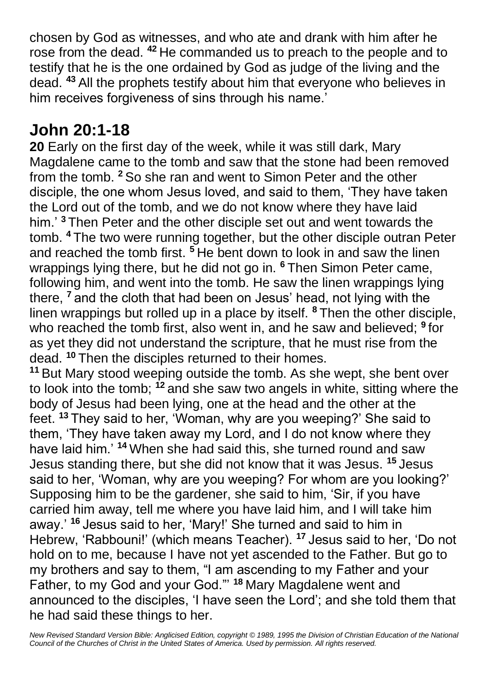chosen by God as witnesses, and who ate and drank with him after he rose from the dead. **<sup>42</sup>** He commanded us to preach to the people and to testify that he is the one ordained by God as judge of the living and the dead. **<sup>43</sup>** All the prophets testify about him that everyone who believes in him receives forgiveness of sins through his name.'

#### **John 20:1-18**

**20** Early on the first day of the week, while it was still dark, Mary Magdalene came to the tomb and saw that the stone had been removed from the tomb. **<sup>2</sup>** So she ran and went to Simon Peter and the other disciple, the one whom Jesus loved, and said to them, 'They have taken the Lord out of the tomb, and we do not know where they have laid him.' **<sup>3</sup>** Then Peter and the other disciple set out and went towards the tomb. **<sup>4</sup>** The two were running together, but the other disciple outran Peter and reached the tomb first. **<sup>5</sup>** He bent down to look in and saw the linen wrappings lying there, but he did not go in. **<sup>6</sup>** Then Simon Peter came, following him, and went into the tomb. He saw the linen wrappings lying there, **<sup>7</sup>** and the cloth that had been on Jesus' head, not lying with the linen wrappings but rolled up in a place by itself. **<sup>8</sup>** Then the other disciple, who reached the tomb first, also went in, and he saw and believed; **<sup>9</sup>** for as yet they did not understand the scripture, that he must rise from the dead. **<sup>10</sup>** Then the disciples returned to their homes.

**<sup>11</sup>** But Mary stood weeping outside the tomb. As she wept, she bent over to look into the tomb; **<sup>12</sup>** and she saw two angels in white, sitting where the body of Jesus had been lying, one at the head and the other at the feet. **<sup>13</sup>** They said to her, 'Woman, why are you weeping?' She said to them, 'They have taken away my Lord, and I do not know where they have laid him.' **<sup>14</sup>** When she had said this, she turned round and saw Jesus standing there, but she did not know that it was Jesus. **<sup>15</sup>** Jesus said to her, 'Woman, why are you weeping? For whom are you looking?' Supposing him to be the gardener, she said to him, 'Sir, if you have carried him away, tell me where you have laid him, and I will take him away.' **<sup>16</sup>** Jesus said to her, 'Mary!' She turned and said to him in Hebrew, 'Rabbouni!' (which means Teacher). **<sup>17</sup>** Jesus said to her, 'Do not hold on to me, because I have not yet ascended to the Father. But go to my brothers and say to them, "I am ascending to my Father and your Father, to my God and your God."' **<sup>18</sup>** Mary Magdalene went and announced to the disciples, 'I have seen the Lord'; and she told them that he had said these things to her.